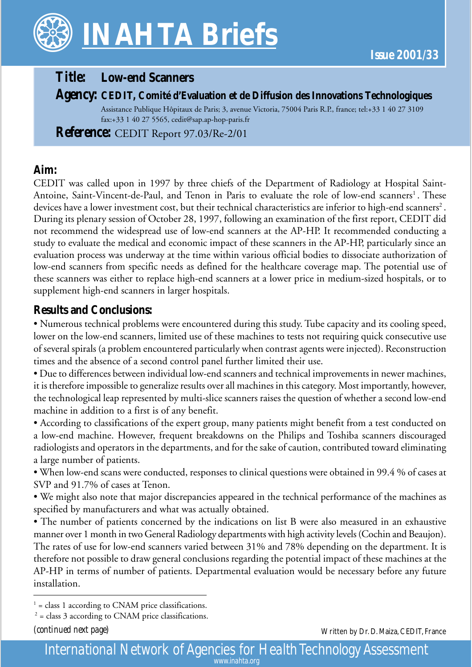

# *Title:* **Low-end Scanners**

### *Agency:* **CEDIT, Comité d'Evaluation et de Diffusion des Innovations Technologiques**

Assistance Publique Hôpitaux de Paris; 3, avenue Victoria, 75004 Paris R.P., france; tel:+33 1 40 27 3109 fax:+33 1 40 27 5565, cedit@sap.ap-hop-paris.fr

*Reference:* CEDIT Report 97.03/Re-2/01

### **Aim:**

CEDIT was called upon in 1997 by three chiefs of the Department of Radiology at Hospital Saint-Antoine, Saint-Vincent-de-Paul, and Tenon in Paris to evaluate the role of low-end scanners<sup>1</sup>. These devices have a lower investment cost, but their technical characteristics are inferior to high-end scanners<sup>2</sup>. During its plenary session of October 28, 1997, following an examination of the first report, CEDIT did not recommend the widespread use of low-end scanners at the AP-HP. It recommended conducting a study to evaluate the medical and economic impact of these scanners in the AP-HP, particularly since an evaluation process was underway at the time within various official bodies to dissociate authorization of low-end scanners from specific needs as defined for the healthcare coverage map. The potential use of these scanners was either to replace high-end scanners at a lower price in medium-sized hospitals, or to supplement high-end scanners in larger hospitals.

## **Results and Conclusions:**

• Numerous technical problems were encountered during this study. Tube capacity and its cooling speed, lower on the low-end scanners, limited use of these machines to tests not requiring quick consecutive use of several spirals (a problem encountered particularly when contrast agents were injected). Reconstruction times and the absence of a second control panel further limited their use.

• Due to differences between individual low-end scanners and technical improvements in newer machines, it is therefore impossible to generalize results over all machines in this category. Most importantly, however, the technological leap represented by multi-slice scanners raises the question of whether a second low-end machine in addition to a first is of any benefit.

• According to classifications of the expert group, many patients might benefit from a test conducted on a low-end machine. However, frequent breakdowns on the Philips and Toshiba scanners discouraged radiologists and operators in the departments, and for the sake of caution, contributed toward eliminating a large number of patients.

• When low-end scans were conducted, responses to clinical questions were obtained in 99.4 % of cases at SVP and 91.7% of cases at Tenon.

• We might also note that major discrepancies appeared in the technical performance of the machines as specified by manufacturers and what was actually obtained.

• The number of patients concerned by the indications on list B were also measured in an exhaustive manner over 1 month in two General Radiology departments with high activity levels (Cochin and Beaujon). The rates of use for low-end scanners varied between 31% and 78% depending on the department. It is therefore not possible to draw general conclusions regarding the potential impact of these machines at the AP-HP in terms of number of patients. Departmental evaluation would be necessary before any future installation.

*(continued next page)*

Written by Dr. D. Maiza, CEDIT, France

*International Network of Agencies for Health Technology Assessment www.inahta.org*

 $<sup>1</sup>$  = class 1 according to CNAM price classifications.</sup>

 $2^2$  = class 3 according to CNAM price classifications.